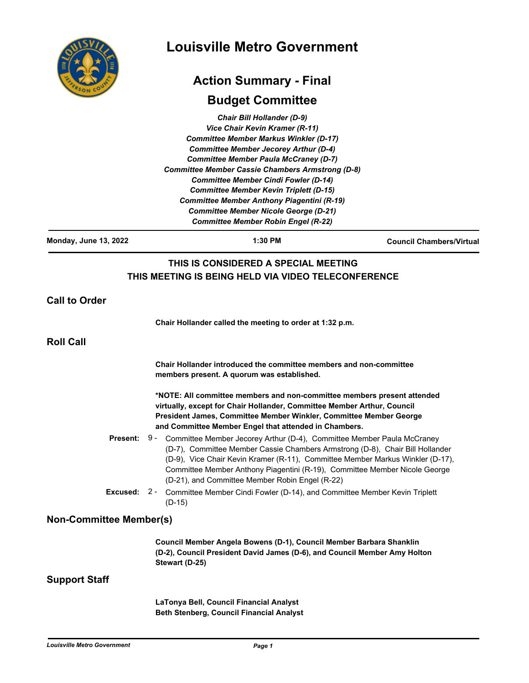|                                | <b>Louisville Metro Government</b>                                                                                                                                                                                                                                                                                                                                                                                                                                                                                                 |                                 |
|--------------------------------|------------------------------------------------------------------------------------------------------------------------------------------------------------------------------------------------------------------------------------------------------------------------------------------------------------------------------------------------------------------------------------------------------------------------------------------------------------------------------------------------------------------------------------|---------------------------------|
|                                | <b>Action Summary - Final</b>                                                                                                                                                                                                                                                                                                                                                                                                                                                                                                      |                                 |
|                                | <b>Budget Committee</b>                                                                                                                                                                                                                                                                                                                                                                                                                                                                                                            |                                 |
|                                | <b>Chair Bill Hollander (D-9)</b><br>Vice Chair Kevin Kramer (R-11)<br><b>Committee Member Markus Winkler (D-17)</b><br><b>Committee Member Jecorey Arthur (D-4)</b><br><b>Committee Member Paula McCraney (D-7)</b><br><b>Committee Member Cassie Chambers Armstrong (D-8)</b><br><b>Committee Member Cindi Fowler (D-14)</b><br><b>Committee Member Kevin Triplett (D-15)</b><br><b>Committee Member Anthony Piagentini (R-19)</b><br><b>Committee Member Nicole George (D-21)</b><br><b>Committee Member Robin Engel (R-22)</b> |                                 |
| <b>Monday, June 13, 2022</b>   | 1:30 PM                                                                                                                                                                                                                                                                                                                                                                                                                                                                                                                            | <b>Council Chambers/Virtual</b> |
|                                | THIS IS CONSIDERED A SPECIAL MEETING<br>THIS MEETING IS BEING HELD VIA VIDEO TELECONFERENCE                                                                                                                                                                                                                                                                                                                                                                                                                                        |                                 |
| <b>Call to Order</b>           |                                                                                                                                                                                                                                                                                                                                                                                                                                                                                                                                    |                                 |
|                                | Chair Hollander called the meeting to order at 1:32 p.m.                                                                                                                                                                                                                                                                                                                                                                                                                                                                           |                                 |
| <b>Roll Call</b>               |                                                                                                                                                                                                                                                                                                                                                                                                                                                                                                                                    |                                 |
|                                | Chair Hollander introduced the committee members and non-committee<br>members present. A quorum was established.                                                                                                                                                                                                                                                                                                                                                                                                                   |                                 |
|                                | *NOTE: All committee members and non-committee members present attended<br>virtually, except for Chair Hollander, Committee Member Arthur, Council<br>President James, Committee Member Winkler, Committee Member George<br>and Committee Member Engel that attended in Chambers.                                                                                                                                                                                                                                                  |                                 |
|                                | <b>Present:</b> 9 - Committee Member Jecorey Arthur (D-4), Committee Member Paula McCraney<br>(D-7), Committee Member Cassie Chambers Armstrong (D-8), Chair Bill Hollander<br>(D-9), Vice Chair Kevin Kramer (R-11), Committee Member Markus Winkler (D-17),<br>Committee Member Anthony Piagentini (R-19), Committee Member Nicole George<br>(D-21), and Committee Member Robin Engel (R-22)                                                                                                                                     |                                 |
|                                | <b>Excused:</b> 2 - Committee Member Cindi Fowler (D-14), and Committee Member Kevin Triplett<br>$(D-15)$                                                                                                                                                                                                                                                                                                                                                                                                                          |                                 |
| <b>Non-Committee Member(s)</b> |                                                                                                                                                                                                                                                                                                                                                                                                                                                                                                                                    |                                 |
|                                | Council Member Angela Bowens (D-1), Council Member Barbara Shanklin<br>(D-2), Council President David James (D-6), and Council Member Amy Holton<br>Stewart (D-25)                                                                                                                                                                                                                                                                                                                                                                 |                                 |
| <b>Support Staff</b>           |                                                                                                                                                                                                                                                                                                                                                                                                                                                                                                                                    |                                 |
|                                | LaTonya Bell, Council Financial Analyst                                                                                                                                                                                                                                                                                                                                                                                                                                                                                            |                                 |

**Beth Stenberg, Council Financial Analyst**